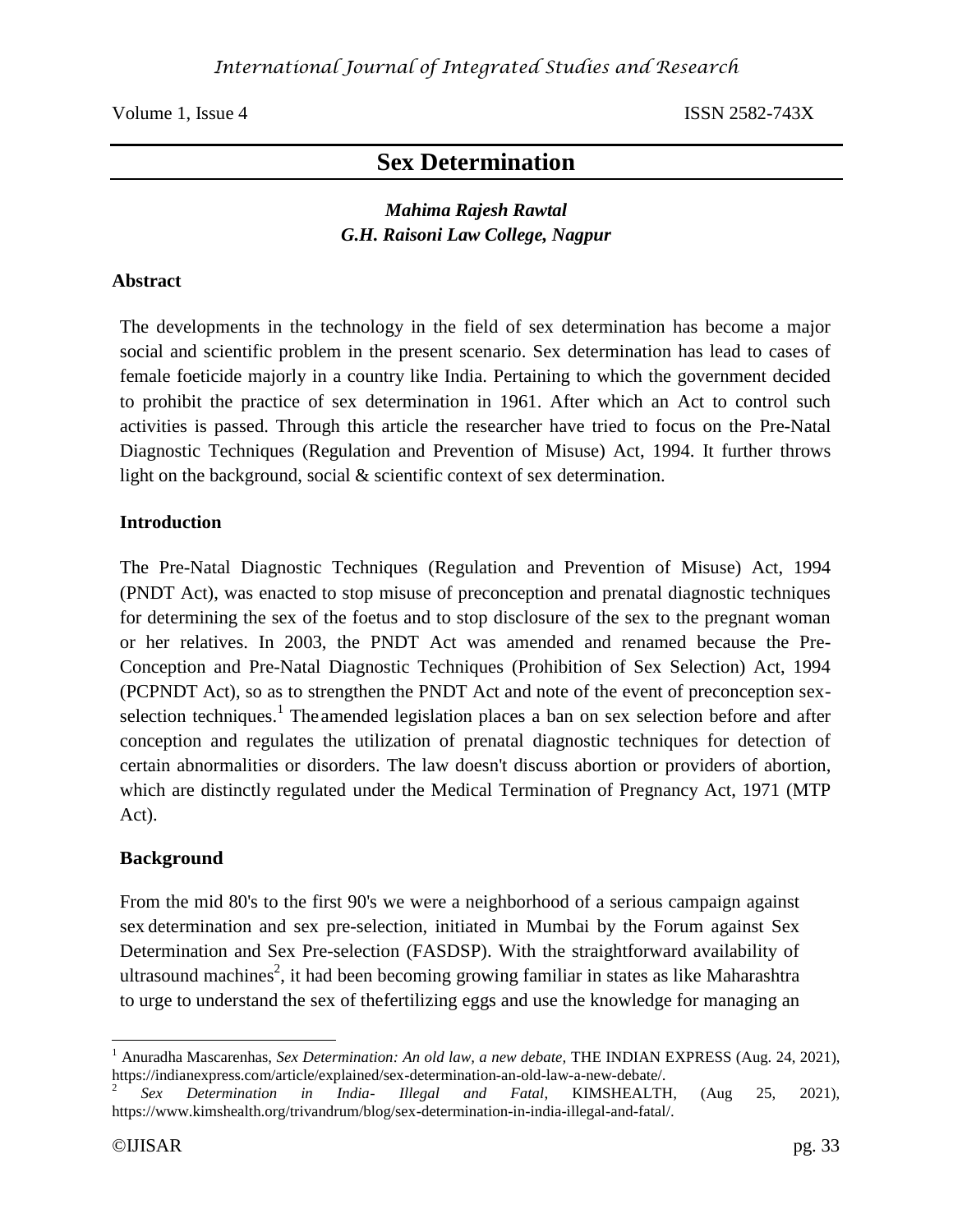Volume 1, Issue 4 ISSN 2582-743X

# **Sex Determination**

## *Mahima Rajesh Rawtal G.H. Raisoni Law College, Nagpur*

#### **Abstract**

The developments in the technology in the field of sex determination has become a major social and scientific problem in the present scenario. Sex determination has lead to cases of female foeticide majorly in a country like India. Pertaining to which the government decided to prohibit the practice of sex determination in 1961. After which an Act to control such activities is passed. Through this article the researcher have tried to focus on the Pre-Natal Diagnostic Techniques (Regulation and Prevention of Misuse) Act, 1994. It further throws light on the background, social & scientific context of sex determination.

#### **Introduction**

The Pre-Natal Diagnostic Techniques (Regulation and Prevention of Misuse) Act, 1994 (PNDT Act), was enacted to stop misuse of preconception and prenatal diagnostic techniques for determining the sex of the foetus and to stop disclosure of the sex to the pregnant woman or her relatives. In 2003, the PNDT Act was amended and renamed because the Pre-Conception and Pre-Natal Diagnostic Techniques (Prohibition of Sex Selection) Act, 1994 (PCPNDT Act), so as to strengthen the PNDT Act and note of the event of preconception sexselection techniques.<sup>1</sup> The amended legislation places a ban on sex selection before and after conception and regulates the utilization of prenatal diagnostic techniques for detection of certain abnormalities or disorders. The law doesn't discuss abortion or providers of abortion, which are distinctly regulated under the Medical Termination of Pregnancy Act, 1971 (MTP Act).

### **Background**

From the mid 80's to the first 90's we were a neighborhood of a serious campaign against sex determination and sex pre-selection, initiated in Mumbai by the Forum against Sex Determination and Sex Pre-selection (FASDSP). With the straightforward availability of ultrasound machines<sup>2</sup>, it had been becoming growing familiar in states as like Maharashtra to urge to understand the sex of thefertilizing eggs and use the knowledge for managing an

 $\overline{a}$ 

<sup>1</sup> Anuradha Mascarenhas, *Sex Determination: An old law, a new debate,* THE INDIAN EXPRESS (Aug. 24, 2021), https://indianexpress.com/article/explained/sex-determination-an-old-law-a-new-debate/.

<sup>2</sup> *Sex Determination in India- Illegal and Fatal*, KIMSHEALTH, (Aug 25, 2021), https://www.kimshealth.org/trivandrum/blog/sex-determination-in-india-illegal-and-fatal/.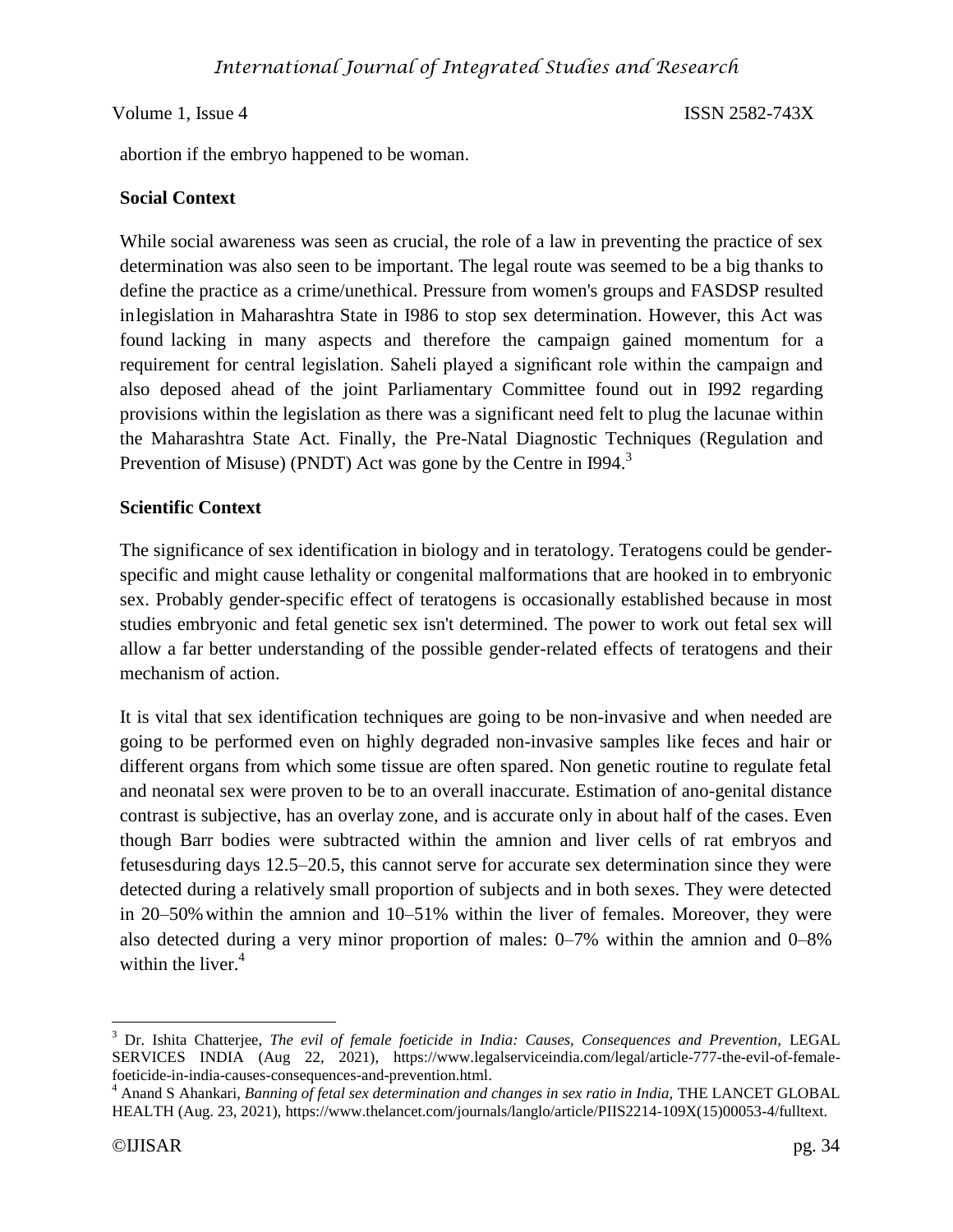#### Volume 1, Issue 4 ISSN 2582-743X

abortion if the embryo happened to be woman.

#### **Social Context**

While social awareness was seen as crucial, the role of a law in preventing the practice of sex determination was also seen to be important. The legal route was seemed to be a big thanks to define the practice as a crime/unethical. Pressure from women's groups and FASDSP resulted inlegislation in Maharashtra State in I986 to stop sex determination. However, this Act was found lacking in many aspects and therefore the campaign gained momentum for a requirement for central legislation. Saheli played a significant role within the campaign and also deposed ahead of the joint Parliamentary Committee found out in I992 regarding provisions within the legislation as there was a significant need felt to plug the lacunae within the Maharashtra State Act. Finally, the Pre-Natal Diagnostic Techniques (Regulation and Prevention of Misuse) (PNDT) Act was gone by the Centre in  $I994$ <sup>3</sup>

#### **Scientific Context**

The significance of sex identification in biology and in teratology. Teratogens could be genderspecific and might cause lethality or congenital malformations that are hooked in to embryonic sex. Probably gender-specific effect of teratogens is occasionally established because in most studies embryonic and fetal genetic sex isn't determined. The power to work out fetal sex will allow a far better understanding of the possible gender-related effects of teratogens and their mechanism of action.

It is vital that sex identification techniques are going to be non-invasive and when needed are going to be performed even on highly degraded non-invasive samples like feces and hair or different organs from which some tissue are often spared. Non genetic routine to regulate fetal and neonatal sex were proven to be to an overall inaccurate. Estimation of ano-genital distance contrast is subjective, has an overlay zone, and is accurate only in about half of the cases. Even though Barr bodies were subtracted within the amnion and liver cells of rat embryos and fetusesduring days 12.5–20.5, this cannot serve for accurate sex determination since they were detected during a relatively small proportion of subjects and in both sexes. They were detected in 20–50% within the amnion and 10–51% within the liver of females. Moreover, they were also detected during a very minor proportion of males: 0–7% within the amnion and 0–8% within the liver. $4$ 

 $\overline{\phantom{a}}$ 

<sup>&</sup>lt;sup>3</sup> Dr. Ishita Chatterjee, *The evil of female foeticide in India: Causes, Consequences and Prevention, LEGAL* SERVICES INDIA (Aug 22, 2021), https://www.legalserviceindia.com/legal/article-777-the-evil-of-femalefoeticide-in-india-causes-consequences-and-prevention.html.

<sup>&</sup>lt;sup>4</sup> Anand S Ahankari, *Banning of fetal sex determination and changes in sex ratio in India, THE LANCET GLOBAL* HEALTH (Aug. 23, 2021), https://www.thelancet.com/journals/langlo/article/PIIS2214-109X(15)00053-4/fulltext.